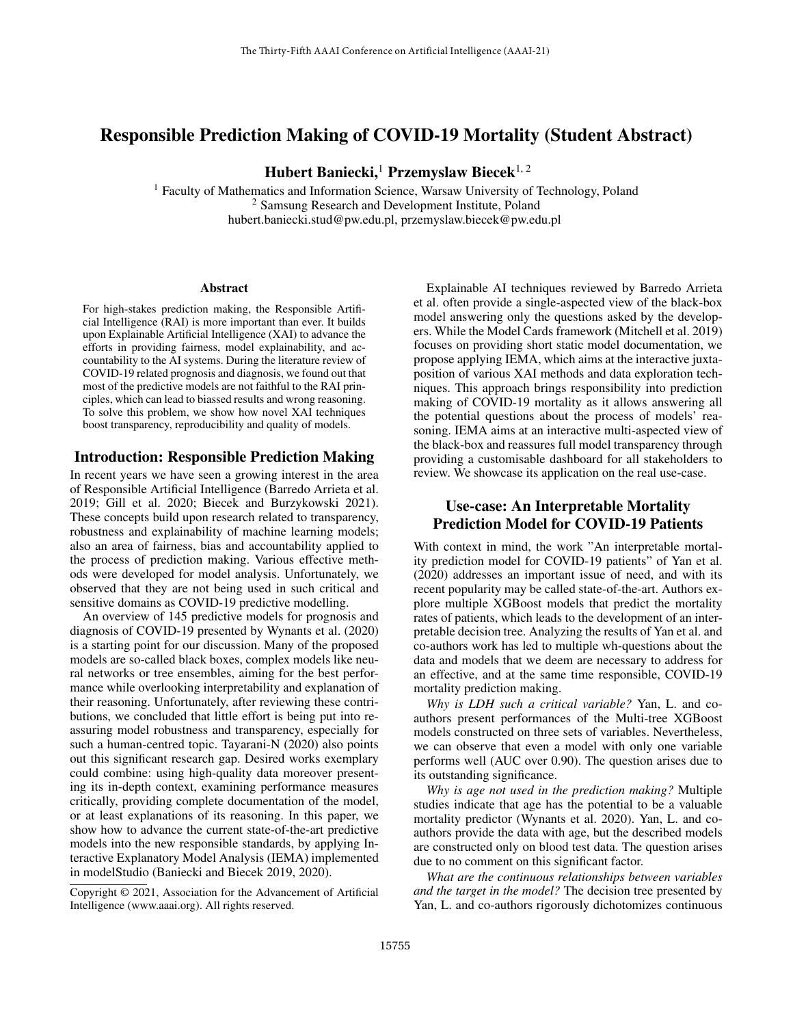# Responsible Prediction Making of COVID-19 Mortality (Student Abstract)

Hubert Baniecki,<sup>1</sup> Przemyslaw Biecek<sup>1, 2</sup>

<sup>1</sup> Faculty of Mathematics and Information Science, Warsaw University of Technology, Poland <sup>2</sup> Samsung Research and Development Institute, Poland hubert.baniecki.stud@pw.edu.pl, przemyslaw.biecek@pw.edu.pl

#### Abstract

For high-stakes prediction making, the Responsible Artificial Intelligence (RAI) is more important than ever. It builds upon Explainable Artificial Intelligence (XAI) to advance the efforts in providing fairness, model explainability, and accountability to the AI systems. During the literature review of COVID-19 related prognosis and diagnosis, we found out that most of the predictive models are not faithful to the RAI principles, which can lead to biassed results and wrong reasoning. To solve this problem, we show how novel XAI techniques boost transparency, reproducibility and quality of models.

#### Introduction: Responsible Prediction Making

In recent years we have seen a growing interest in the area of Responsible Artificial Intelligence (Barredo Arrieta et al. 2019; Gill et al. 2020; Biecek and Burzykowski 2021). These concepts build upon research related to transparency, robustness and explainability of machine learning models; also an area of fairness, bias and accountability applied to the process of prediction making. Various effective methods were developed for model analysis. Unfortunately, we observed that they are not being used in such critical and sensitive domains as COVID-19 predictive modelling.

An overview of 145 predictive models for prognosis and diagnosis of COVID-19 presented by Wynants et al. (2020) is a starting point for our discussion. Many of the proposed models are so-called black boxes, complex models like neural networks or tree ensembles, aiming for the best performance while overlooking interpretability and explanation of their reasoning. Unfortunately, after reviewing these contributions, we concluded that little effort is being put into reassuring model robustness and transparency, especially for such a human-centred topic. Tayarani-N (2020) also points out this significant research gap. Desired works exemplary could combine: using high-quality data moreover presenting its in-depth context, examining performance measures critically, providing complete documentation of the model, or at least explanations of its reasoning. In this paper, we show how to advance the current state-of-the-art predictive models into the new responsible standards, by applying Interactive Explanatory Model Analysis (IEMA) implemented in modelStudio (Baniecki and Biecek 2019, 2020).

Explainable AI techniques reviewed by Barredo Arrieta et al. often provide a single-aspected view of the black-box model answering only the questions asked by the developers. While the Model Cards framework (Mitchell et al. 2019) focuses on providing short static model documentation, we propose applying IEMA, which aims at the interactive juxtaposition of various XAI methods and data exploration techniques. This approach brings responsibility into prediction making of COVID-19 mortality as it allows answering all the potential questions about the process of models' reasoning. IEMA aims at an interactive multi-aspected view of the black-box and reassures full model transparency through providing a customisable dashboard for all stakeholders to review. We showcase its application on the real use-case.

## Use-case: An Interpretable Mortality Prediction Model for COVID-19 Patients

With context in mind, the work "An interpretable mortality prediction model for COVID-19 patients" of Yan et al. (2020) addresses an important issue of need, and with its recent popularity may be called state-of-the-art. Authors explore multiple XGBoost models that predict the mortality rates of patients, which leads to the development of an interpretable decision tree. Analyzing the results of Yan et al. and co-authors work has led to multiple wh-questions about the data and models that we deem are necessary to address for an effective, and at the same time responsible, COVID-19 mortality prediction making.

*Why is LDH such a critical variable?* Yan, L. and coauthors present performances of the Multi-tree XGBoost models constructed on three sets of variables. Nevertheless, we can observe that even a model with only one variable performs well (AUC over 0.90). The question arises due to its outstanding significance.

*Why is age not used in the prediction making?* Multiple studies indicate that age has the potential to be a valuable mortality predictor (Wynants et al. 2020). Yan, L. and coauthors provide the data with age, but the described models are constructed only on blood test data. The question arises due to no comment on this significant factor.

*What are the continuous relationships between variables and the target in the model?* The decision tree presented by Yan, L. and co-authors rigorously dichotomizes continuous

Copyright © 2021, Association for the Advancement of Artificial Intelligence (www.aaai.org). All rights reserved.